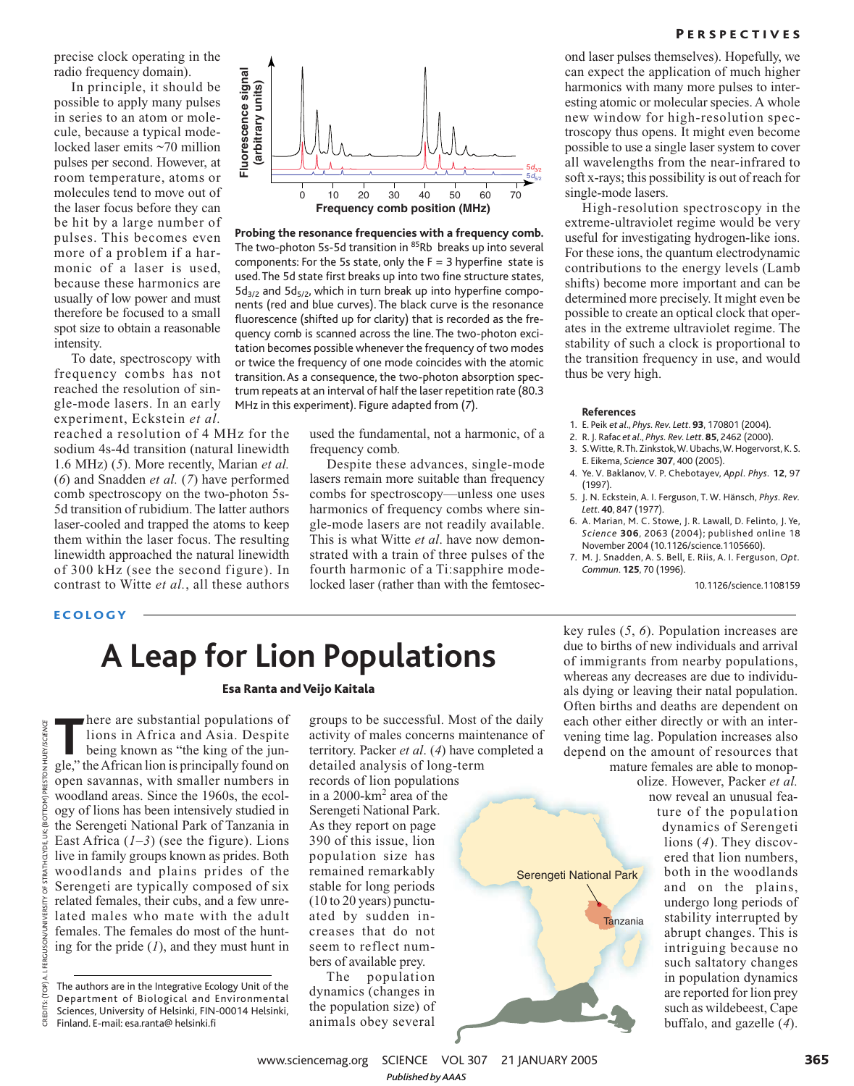precise clock operating in the radio frequency domain).

In principle, it should be possible to apply many pulses in series to an atom or molecule, because a typical modelocked laser emits ~70 million pulses per second. However, at room temperature, atoms or molecules tend to move out of the laser focus before they can be hit by a large number of pulses. This becomes even more of a problem if a harmonic of a laser is used, because these harmonics are usually of low power and must therefore be focused to a small spot size to obtain a reasonable intensity.

To date, spectroscopy with frequency combs has not reached the resolution of single-mode lasers. In an early experiment, Eckstein *et al.*

reached a resolution of 4 MHz for the sodium 4s-4d transition (natural linewidth 1.6 MHz) (*5*). More recently, Marian *et al.* (*6*) and Snadden *et al.* (*7*) have performed comb spectroscopy on the two-photon 5s-5d transition of rubidium. The latter authors laser-cooled and trapped the atoms to keep them within the laser focus. The resulting linewidth approached the natural linewidth of 300 kHz (see the second figure). In contrast to Witte *et al.*, all these authors



**Probing the resonance frequencies with a frequency comb.** The two-photon 5s-5d transition in 85Rb breaks up into several components: For the 5s state, only the  $F = 3$  hyperfine state is used.The 5d state first breaks up into two fine structure states,  $5d_{3/2}$  and  $5d_{5/2}$ , which in turn break up into hyperfine components (red and blue curves). The black curve is the resonance fluorescence (shifted up for clarity) that is recorded as the frequency comb is scanned across the line. The two-photon excitation becomes possible whenever the frequency of two modes or twice the frequency of one mode coincides with the atomic transition. As a consequence, the two-photon absorption spectrum repeats at an interval of half the laser repetition rate (80.3 MHz in this experiment). Figure adapted from (*7*).

> used the fundamental, not a harmonic, of a frequency comb.

> Despite these advances, single-mode lasers remain more suitable than frequency combs for spectroscopy—unless one uses harmonics of frequency combs where single-mode lasers are not readily available. This is what Witte *et al*. have now demonstrated with a train of three pulses of the fourth harmonic of a Ti:sapphire modelocked laser (rather than with the femtosec-

## **PERSPECTIVES**

ond laser pulses themselves). Hopefully, we can expect the application of much higher harmonics with many more pulses to interesting atomic or molecular species. A whole new window for high-resolution spectroscopy thus opens. It might even become possible to use a single laser system to cover all wavelengths from the near-infrared to soft x-rays; this possibility is out of reach for single-mode lasers.

High-resolution spectroscopy in the extreme-ultraviolet regime would be very useful for investigating hydrogen-like ions. For these ions, the quantum electrodynamic contributions to the energy levels (Lamb shifts) become more important and can be determined more precisely. It might even be possible to create an optical clock that operates in the extreme ultraviolet regime. The stability of such a clock is proportional to the transition frequency in use, and would thus be very high.

#### **References**

- 1. E. Peik *et al*., *Phys. Rev. Lett*. **93**, 170801 (2004).
- 2. R. J. Rafac *et al*., *Phys. Rev. Lett*. **85**, 2462 (2000).
- 3. S. Witte, R.Th. Zinkstok, W. Ubachs, W. Hogervorst, K. S. E. Eikema, *Science* **307**, 400 (2005).
- 4. Ye. V. Baklanov, V. P. Chebotayev, *Appl. Phys.* **12**, 97 (1997).
- 5. J. N. Eckstein, A. I. Ferguson, T. W. Hänsch, *Phys. Rev. Lett*. **40**, 847 (1977).
- 6. A. Marian, M. C. Stowe, J. R. Lawall, D. Felinto, J. Ye, *Science* **306**, 2063 (2004); published online 18 November 2004 (10.1126/science.1105660).
- 7. M. J. Snadden, A. S. Bell, E. Riis, A. I. Ferguson, *Opt. Commun*. **125**, 70 (1996).

10.1126/science.1108159

# **ECOLOGY**

# **A Leap for Lion Populations**

#### Esa Ranta and Veijo Kaitala

here are substantial populations of<br>
lions in Africa and Asia. Despite<br>
being known as "the king of the jun-<br>
gle," the African lion is principally found on here are substantial populations of lions in Africa and Asia. Despite being known as "the king of the junopen savannas, with smaller numbers in woodland areas. Since the 1960s, the ecology of lions has been intensively studied in the Serengeti National Park of Tanzania in East Africa  $(1-3)$  (see the figure). Lions live in family groups known as prides. Both woodlands and plains prides of the Serengeti are typically composed of six related females, their cubs, and a few unrelated males who mate with the adult females. The females do most of the hunting for the pride (*1*), and they must hunt in

groups to be successful. Most of the daily activity of males concerns maintenance of territory. Packer *et al*. (*4*) have completed a detailed analysis of long-term

records of lion populations in a 2000-km<sup>2</sup> area of the Serengeti National Park. As they report on page 390 of this issue, lion population size has remained remarkably stable for long periods (10 to 20 years) punctuated by sudden increases that do not seem to reflect numbers of available prey.

The population dynamics (changes in the population size) of animals obey several

key rules (*5*, *6*). Population increases are due to births of new individuals and arrival of immigrants from nearby populations, whereas any decreases are due to individuals dying or leaving their natal population. Often births and deaths are dependent on each other either directly or with an intervening time lag. Population increases also depend on the amount of resources that mature females are able to monop-

Tanzania de la contra

Serengeti National Park

olize. However, Packer *et al.* now reveal an unusual feature of the population dynamics of Serengeti lions (*4*). They discovered that lion numbers, both in the woodlands and on the plains, undergo long periods of stability interrupted by abrupt changes. This is intriguing because no such saltatory changes in population dynamics are reported for lion prey such as wildebeest, Cape buffalo, and gazelle (*4*).

www.sciencemag.org SCIENCE VOL 307 21 JANUARY 2005 *Published byAAAS*

The authors are in the Integrative Ecology Unit of the Department of Biological and Environmental Sciences, University of Helsinki, FIN-00014 Helsinki, Finland. E-mail: esa.ranta@ helsinki.fi